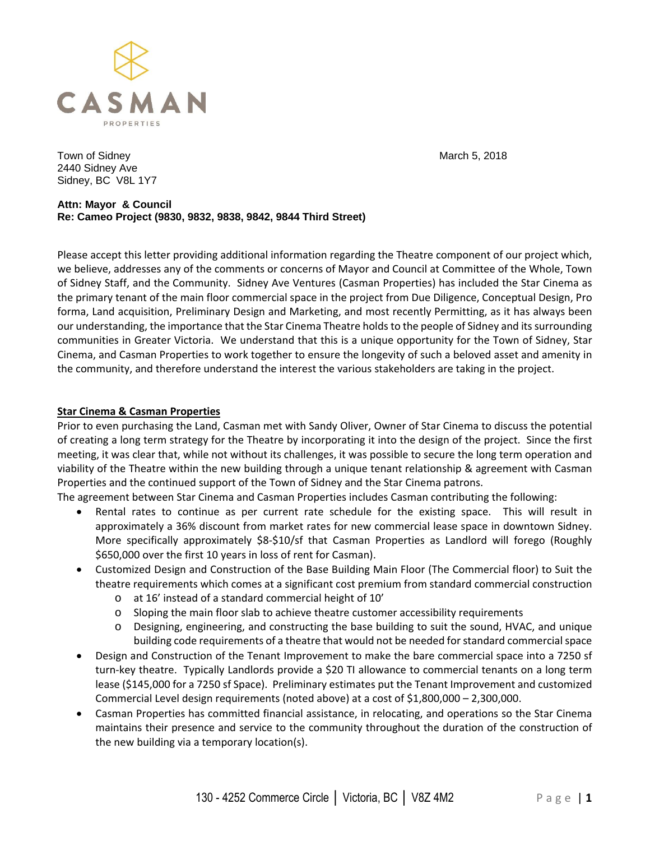

Town of Sidney March 5, 2018 2440 Sidney Ave Sidney, BC V8L 1Y7

#### **Attn: Mayor & Council Re: Cameo Project (9830, 9832, 9838, 9842, 9844 Third Street)**

Please accept this letter providing additional information regarding the Theatre component of our project which, we believe, addresses any of the comments or concerns of Mayor and Council at Committee of the Whole, Town of Sidney Staff, and the Community. Sidney Ave Ventures (Casman Properties) has included the Star Cinema as the primary tenant of the main floor commercial space in the project from Due Diligence, Conceptual Design, Pro forma, Land acquisition, Preliminary Design and Marketing, and most recently Permitting, as it has always been our understanding, the importance that the Star Cinema Theatre holds to the people of Sidney and its surrounding communities in Greater Victoria. We understand that this is a unique opportunity for the Town of Sidney, Star Cinema, and Casman Properties to work together to ensure the longevity of such a beloved asset and amenity in the community, and therefore understand the interest the various stakeholders are taking in the project.

#### **Star Cinema & Casman Properties**

Prior to even purchasing the Land, Casman met with Sandy Oliver, Owner of Star Cinema to discuss the potential of creating a long term strategy for the Theatre by incorporating it into the design of the project. Since the first meeting, it was clear that, while not without its challenges, it was possible to secure the long term operation and viability of the Theatre within the new building through a unique tenant relationship & agreement with Casman Properties and the continued support of the Town of Sidney and the Star Cinema patrons.

The agreement between Star Cinema and Casman Properties includes Casman contributing the following:

- Rental rates to continue as per current rate schedule for the existing space. This will result in approximately a 36% discount from market rates for new commercial lease space in downtown Sidney. More specifically approximately \$8-\$10/sf that Casman Properties as Landlord will forego (Roughly \$650,000 over the first 10 years in loss of rent for Casman).
- Customized Design and Construction of the Base Building Main Floor (The Commercial floor) to Suit the theatre requirements which comes at a significant cost premium from standard commercial construction
	- o at 16' instead of a standard commercial height of 10'
	- o Sloping the main floor slab to achieve theatre customer accessibility requirements
	- o Designing, engineering, and constructing the base building to suit the sound, HVAC, and unique building code requirements of a theatre that would not be needed for standard commercial space
- Design and Construction of the Tenant Improvement to make the bare commercial space into a 7250 sf turn‐key theatre. Typically Landlords provide a \$20 TI allowance to commercial tenants on a long term lease (\$145,000 for a 7250 sf Space). Preliminary estimates put the Tenant Improvement and customized Commercial Level design requirements (noted above) at a cost of \$1,800,000 – 2,300,000.
- Casman Properties has committed financial assistance, in relocating, and operations so the Star Cinema maintains their presence and service to the community throughout the duration of the construction of the new building via a temporary location(s).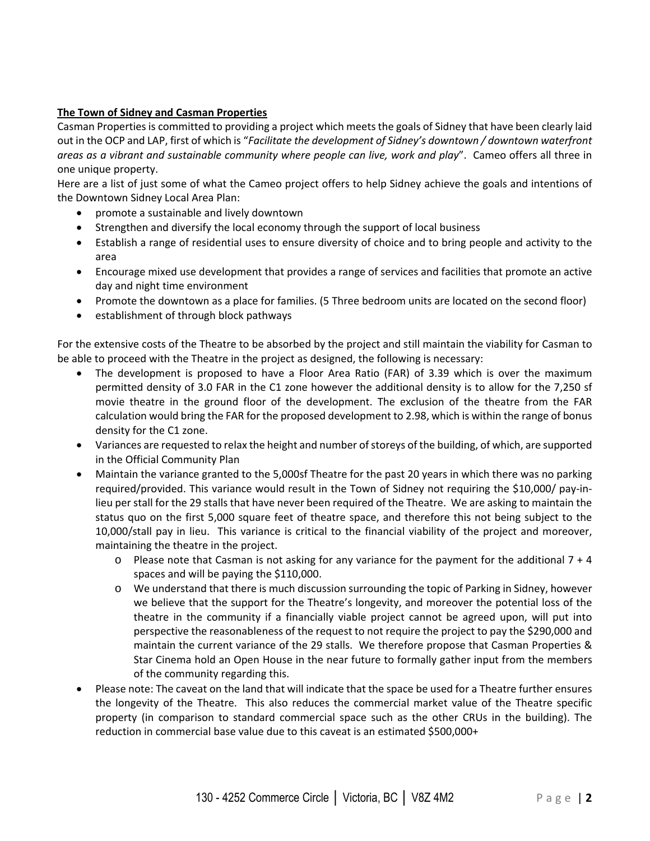#### **The Town of Sidney and Casman Properties**

Casman Properties is committed to providing a project which meets the goals of Sidney that have been clearly laid out in the OCP and LAP, first of which is "*Facilitate the development of Sidney's downtown / downtown waterfront areas as a vibrant and sustainable community where people can live, work and play*". Cameo offers all three in one unique property.

Here are a list of just some of what the Cameo project offers to help Sidney achieve the goals and intentions of the Downtown Sidney Local Area Plan:

- promote a sustainable and lively downtown
- Strengthen and diversify the local economy through the support of local business
- Establish a range of residential uses to ensure diversity of choice and to bring people and activity to the area
- Encourage mixed use development that provides a range of services and facilities that promote an active day and night time environment
- Promote the downtown as a place for families. (5 Three bedroom units are located on the second floor)
- establishment of through block pathways

For the extensive costs of the Theatre to be absorbed by the project and still maintain the viability for Casman to be able to proceed with the Theatre in the project as designed, the following is necessary:

- The development is proposed to have a Floor Area Ratio (FAR) of 3.39 which is over the maximum permitted density of 3.0 FAR in the C1 zone however the additional density is to allow for the 7,250 sf movie theatre in the ground floor of the development. The exclusion of the theatre from the FAR calculation would bring the FAR for the proposed development to 2.98, which is within the range of bonus density for the C1 zone.
- Variances are requested to relax the height and number ofstoreys of the building, of which, are supported in the Official Community Plan
- Maintain the variance granted to the 5,000sf Theatre for the past 20 years in which there was no parking required/provided. This variance would result in the Town of Sidney not requiring the \$10,000/ pay‐in‐ lieu per stall for the 29 stalls that have never been required of the Theatre. We are asking to maintain the status quo on the first 5,000 square feet of theatre space, and therefore this not being subject to the 10,000/stall pay in lieu. This variance is critical to the financial viability of the project and moreover, maintaining the theatre in the project.
	- $\circ$  Please note that Casman is not asking for any variance for the payment for the additional 7 + 4 spaces and will be paying the \$110,000.
	- o We understand that there is much discussion surrounding the topic of Parking in Sidney, however we believe that the support for the Theatre's longevity, and moreover the potential loss of the theatre in the community if a financially viable project cannot be agreed upon, will put into perspective the reasonableness of the request to not require the project to pay the \$290,000 and maintain the current variance of the 29 stalls. We therefore propose that Casman Properties & Star Cinema hold an Open House in the near future to formally gather input from the members of the community regarding this.
- Please note: The caveat on the land that will indicate that the space be used for a Theatre further ensures the longevity of the Theatre. This also reduces the commercial market value of the Theatre specific property (in comparison to standard commercial space such as the other CRUs in the building). The reduction in commercial base value due to this caveat is an estimated \$500,000+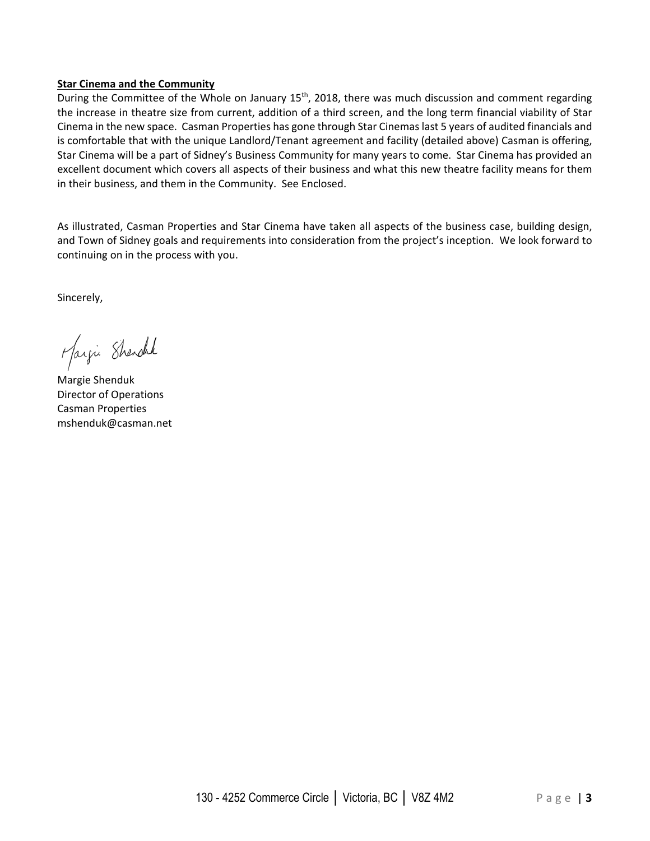#### **Star Cinema and the Community**

During the Committee of the Whole on January 15<sup>th</sup>, 2018, there was much discussion and comment regarding the increase in theatre size from current, addition of a third screen, and the long term financial viability of Star Cinema in the new space. Casman Properties has gone through Star Cinemas last 5 years of audited financials and is comfortable that with the unique Landlord/Tenant agreement and facility (detailed above) Casman is offering, Star Cinema will be a part of Sidney's Business Community for many years to come. Star Cinema has provided an excellent document which covers all aspects of their business and what this new theatre facility means for them in their business, and them in the Community. See Enclosed.

As illustrated, Casman Properties and Star Cinema have taken all aspects of the business case, building design, and Town of Sidney goals and requirements into consideration from the project's inception. We look forward to continuing on in the process with you.

Sincerely,

Margin Shendhak

Margie Shenduk Director of Operations Casman Properties mshenduk@casman.net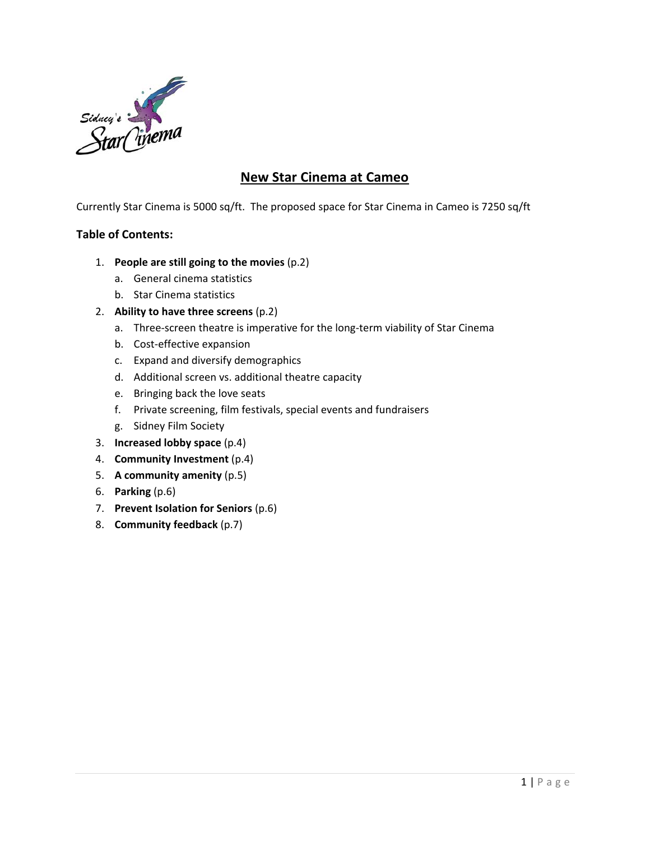

# **New Star Cinema at Cameo**

Currently Star Cinema is 5000 sq/ft. The proposed space for Star Cinema in Cameo is 7250 sq/ft

### **Table of Contents:**

- 1. **People are still going to the movies** (p.2)
	- a. General cinema statistics
	- b. Star Cinema statistics
- 2. **Ability to have three screens** (p.2)
	- a. Three-screen theatre is imperative for the long-term viability of Star Cinema
	- b. Cost‐effective expansion
	- c. Expand and diversify demographics
	- d. Additional screen vs. additional theatre capacity
	- e. Bringing back the love seats
	- f. Private screening, film festivals, special events and fundraisers
	- g. Sidney Film Society
- 3. **Increased lobby space** (p.4)
- 4. **Community Investment** (p.4)
- 5. **A community amenity** (p.5)
- 6. **Parking** (p.6)
- 7. **Prevent Isolation for Seniors** (p.6)
- 8. **Community feedback** (p.7)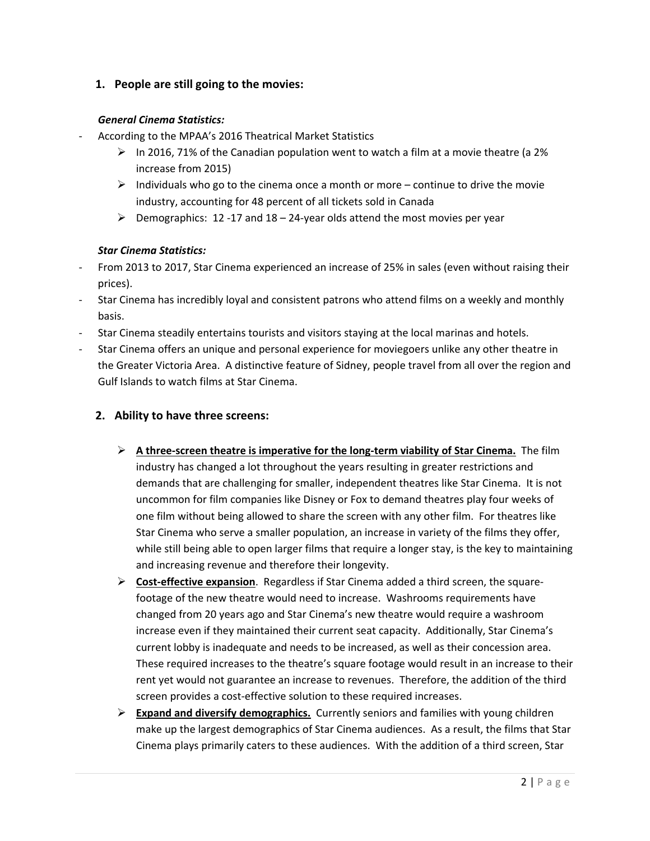### **1. People are still going to the movies:**

### *General Cinema Statistics:*

- ‐ According to the MPAA's 2016 Theatrical Market Statistics
	- $\triangleright$  In 2016, 71% of the Canadian population went to watch a film at a movie theatre (a 2% increase from 2015)
	- $\triangleright$  Individuals who go to the cinema once a month or more continue to drive the movie industry, accounting for 48 percent of all tickets sold in Canada
	- $\triangleright$  Demographics: 12 -17 and 18 24-year olds attend the most movies per year

#### *Star Cinema Statistics:*

- ‐ From 2013 to 2017, Star Cinema experienced an increase of 25% in sales (even without raising their prices).
- Star Cinema has incredibly loyal and consistent patrons who attend films on a weekly and monthly basis.
- Star Cinema steadily entertains tourists and visitors staying at the local marinas and hotels.
- ‐ Star Cinema offers an unique and personal experience for moviegoers unlike any other theatre in the Greater Victoria Area. A distinctive feature of Sidney, people travel from all over the region and Gulf Islands to watch films at Star Cinema.

#### **2. Ability to have three screens:**

- **A three‐screen theatre is imperative for the long‐term viability of Star Cinema.** The film industry has changed a lot throughout the years resulting in greater restrictions and demands that are challenging for smaller, independent theatres like Star Cinema. It is not uncommon for film companies like Disney or Fox to demand theatres play four weeks of one film without being allowed to share the screen with any other film. For theatres like Star Cinema who serve a smaller population, an increase in variety of the films they offer, while still being able to open larger films that require a longer stay, is the key to maintaining and increasing revenue and therefore their longevity.
- **Cost‐effective expansion**. Regardless if Star Cinema added a third screen, the square‐ footage of the new theatre would need to increase. Washrooms requirements have changed from 20 years ago and Star Cinema's new theatre would require a washroom increase even if they maintained their current seat capacity. Additionally, Star Cinema's current lobby is inadequate and needs to be increased, as well as their concession area. These required increases to the theatre's square footage would result in an increase to their rent yet would not guarantee an increase to revenues. Therefore, the addition of the third screen provides a cost-effective solution to these required increases.
- **Expand and diversify demographics.** Currently seniors and families with young children make up the largest demographics of Star Cinema audiences. As a result, the films that Star Cinema plays primarily caters to these audiences. With the addition of a third screen, Star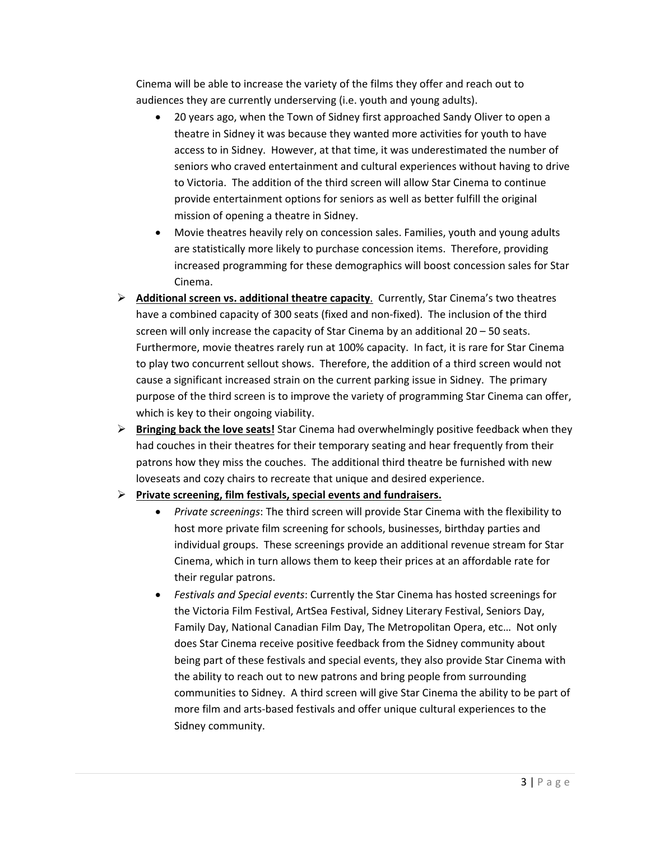Cinema will be able to increase the variety of the films they offer and reach out to audiences they are currently underserving (i.e. youth and young adults).

- 20 years ago, when the Town of Sidney first approached Sandy Oliver to open a theatre in Sidney it was because they wanted more activities for youth to have access to in Sidney. However, at that time, it was underestimated the number of seniors who craved entertainment and cultural experiences without having to drive to Victoria. The addition of the third screen will allow Star Cinema to continue provide entertainment options for seniors as well as better fulfill the original mission of opening a theatre in Sidney.
- Movie theatres heavily rely on concession sales. Families, youth and young adults are statistically more likely to purchase concession items. Therefore, providing increased programming for these demographics will boost concession sales for Star Cinema.
- **Additional screen vs. additional theatre capacity**. Currently, Star Cinema's two theatres have a combined capacity of 300 seats (fixed and non‐fixed). The inclusion of the third screen will only increase the capacity of Star Cinema by an additional 20 – 50 seats. Furthermore, movie theatres rarely run at 100% capacity. In fact, it is rare for Star Cinema to play two concurrent sellout shows. Therefore, the addition of a third screen would not cause a significant increased strain on the current parking issue in Sidney. The primary purpose of the third screen is to improve the variety of programming Star Cinema can offer, which is key to their ongoing viability.
- **Bringing back the love seats!** Star Cinema had overwhelmingly positive feedback when they had couches in their theatres for their temporary seating and hear frequently from their patrons how they miss the couches. The additional third theatre be furnished with new loveseats and cozy chairs to recreate that unique and desired experience.
- **Private screening, film festivals, special events and fundraisers.**
	- *Private screenings*: The third screen will provide Star Cinema with the flexibility to host more private film screening for schools, businesses, birthday parties and individual groups. These screenings provide an additional revenue stream for Star Cinema, which in turn allows them to keep their prices at an affordable rate for their regular patrons.
	- *Festivals and Special events*: Currently the Star Cinema has hosted screenings for the Victoria Film Festival, ArtSea Festival, Sidney Literary Festival, Seniors Day, Family Day, National Canadian Film Day, The Metropolitan Opera, etc… Not only does Star Cinema receive positive feedback from the Sidney community about being part of these festivals and special events, they also provide Star Cinema with the ability to reach out to new patrons and bring people from surrounding communities to Sidney. A third screen will give Star Cinema the ability to be part of more film and arts‐based festivals and offer unique cultural experiences to the Sidney community.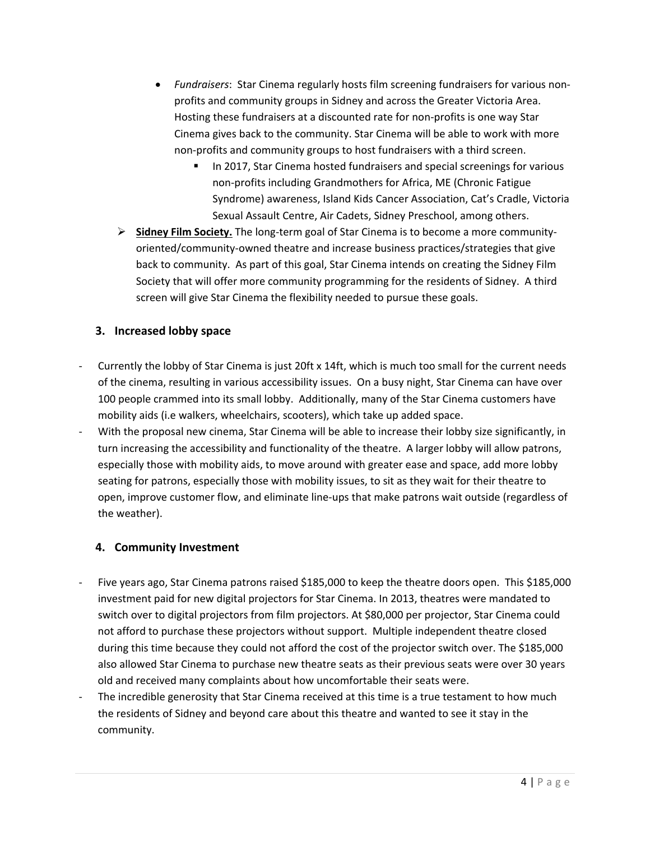- *Fundraisers*: Star Cinema regularly hosts film screening fundraisers for various non‐ profits and community groups in Sidney and across the Greater Victoria Area. Hosting these fundraisers at a discounted rate for non‐profits is one way Star Cinema gives back to the community. Star Cinema will be able to work with more non‐profits and community groups to host fundraisers with a third screen.
	- In 2017, Star Cinema hosted fundraisers and special screenings for various non‐profits including Grandmothers for Africa, ME (Chronic Fatigue Syndrome) awareness, Island Kids Cancer Association, Cat's Cradle, Victoria Sexual Assault Centre, Air Cadets, Sidney Preschool, among others.
- **Sidney Film Society.** The long‐term goal of Star Cinema is to become a more community‐ oriented/community‐owned theatre and increase business practices/strategies that give back to community. As part of this goal, Star Cinema intends on creating the Sidney Film Society that will offer more community programming for the residents of Sidney. A third screen will give Star Cinema the flexibility needed to pursue these goals.

## **3. Increased lobby space**

- ‐ Currently the lobby of Star Cinema is just 20ft x 14ft, which is much too small for the current needs of the cinema, resulting in various accessibility issues. On a busy night, Star Cinema can have over 100 people crammed into its small lobby. Additionally, many of the Star Cinema customers have mobility aids (i.e walkers, wheelchairs, scooters), which take up added space.
- With the proposal new cinema, Star Cinema will be able to increase their lobby size significantly, in turn increasing the accessibility and functionality of the theatre. A larger lobby will allow patrons, especially those with mobility aids, to move around with greater ease and space, add more lobby seating for patrons, especially those with mobility issues, to sit as they wait for their theatre to open, improve customer flow, and eliminate line‐ups that make patrons wait outside (regardless of the weather).

## **4. Community Investment**

- ‐ Five years ago, Star Cinema patrons raised \$185,000 to keep the theatre doors open. This \$185,000 investment paid for new digital projectors for Star Cinema. In 2013, theatres were mandated to switch over to digital projectors from film projectors. At \$80,000 per projector, Star Cinema could not afford to purchase these projectors without support. Multiple independent theatre closed during this time because they could not afford the cost of the projector switch over. The \$185,000 also allowed Star Cinema to purchase new theatre seats as their previous seats were over 30 years old and received many complaints about how uncomfortable their seats were.
- The incredible generosity that Star Cinema received at this time is a true testament to how much the residents of Sidney and beyond care about this theatre and wanted to see it stay in the community.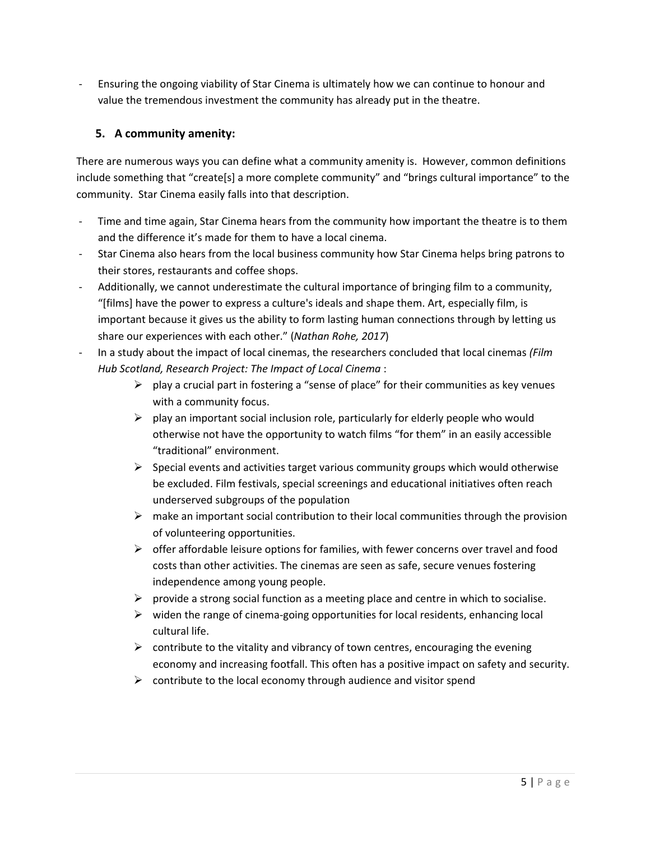‐ Ensuring the ongoing viability of Star Cinema is ultimately how we can continue to honour and value the tremendous investment the community has already put in the theatre.

## **5. A community amenity:**

There are numerous ways you can define what a community amenity is. However, common definitions include something that "create[s] a more complete community" and "brings cultural importance" to the community. Star Cinema easily falls into that description.

- Time and time again, Star Cinema hears from the community how important the theatre is to them and the difference it's made for them to have a local cinema.
- ‐ Star Cinema also hears from the local business community how Star Cinema helps bring patrons to their stores, restaurants and coffee shops.
- ‐ Additionally, we cannot underestimate the cultural importance of bringing film to a community, "[films] have the power to express a culture's ideals and shape them. Art, especially film, is important because it gives us the ability to form lasting human connections through by letting us share our experiences with each other." (*Nathan Rohe, 2017*)
- ‐ In a study about the impact of local cinemas, the researchers concluded that local cinemas *(Film Hub Scotland, Research Project: The Impact of Local Cinema* :
	- $\triangleright$  play a crucial part in fostering a "sense of place" for their communities as key venues with a community focus.
	- $\triangleright$  play an important social inclusion role, particularly for elderly people who would otherwise not have the opportunity to watch films "for them" in an easily accessible "traditional" environment.
	- $\triangleright$  Special events and activities target various community groups which would otherwise be excluded. Film festivals, special screenings and educational initiatives often reach underserved subgroups of the population
	- $\triangleright$  make an important social contribution to their local communities through the provision of volunteering opportunities.
	- $\triangleright$  offer affordable leisure options for families, with fewer concerns over travel and food costs than other activities. The cinemas are seen as safe, secure venues fostering independence among young people.
	- $\triangleright$  provide a strong social function as a meeting place and centre in which to socialise.
	- $\triangleright$  widen the range of cinema-going opportunities for local residents, enhancing local cultural life.
	- $\triangleright$  contribute to the vitality and vibrancy of town centres, encouraging the evening economy and increasing footfall. This often has a positive impact on safety and security.
	- $\triangleright$  contribute to the local economy through audience and visitor spend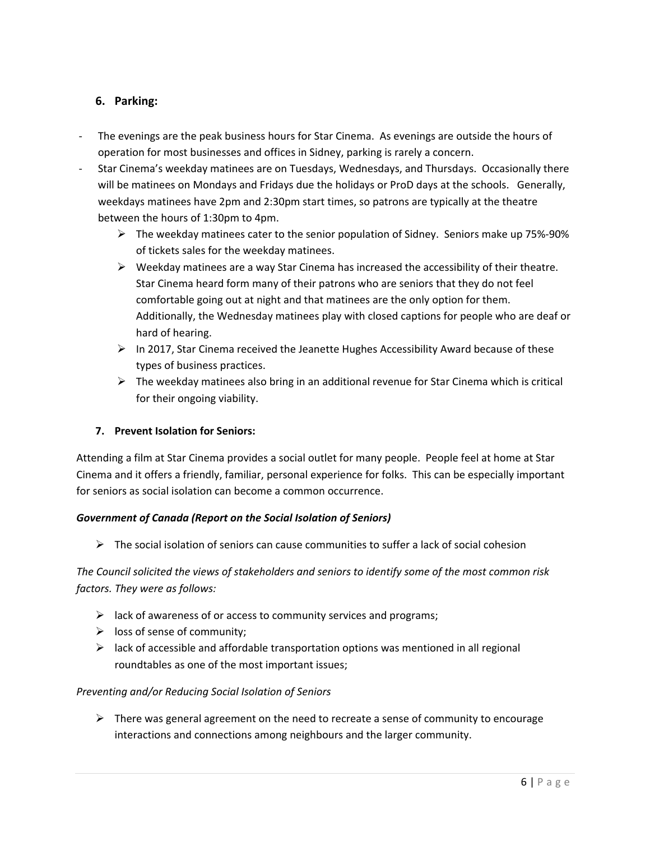### **6. Parking:**

- ‐ The evenings are the peak business hours for Star Cinema. As evenings are outside the hours of operation for most businesses and offices in Sidney, parking is rarely a concern.
- Star Cinema's weekday matinees are on Tuesdays, Wednesdays, and Thursdays. Occasionally there will be matinees on Mondays and Fridays due the holidays or ProD days at the schools. Generally, weekdays matinees have 2pm and 2:30pm start times, so patrons are typically at the theatre between the hours of 1:30pm to 4pm.
	- $\triangleright$  The weekday matinees cater to the senior population of Sidney. Seniors make up 75%-90% of tickets sales for the weekday matinees.
	- $\triangleright$  Weekday matinees are a way Star Cinema has increased the accessibility of their theatre. Star Cinema heard form many of their patrons who are seniors that they do not feel comfortable going out at night and that matinees are the only option for them. Additionally, the Wednesday matinees play with closed captions for people who are deaf or hard of hearing.
	- $\triangleright$  In 2017, Star Cinema received the Jeanette Hughes Accessibility Award because of these types of business practices.
	- $\triangleright$  The weekday matinees also bring in an additional revenue for Star Cinema which is critical for their ongoing viability.

### **7. Prevent Isolation for Seniors:**

Attending a film at Star Cinema provides a social outlet for many people. People feel at home at Star Cinema and it offers a friendly, familiar, personal experience for folks. This can be especially important for seniors as social isolation can become a common occurrence.

### *Government of Canada (Report on the Social Isolation of Seniors)*

 $\triangleright$  The social isolation of seniors can cause communities to suffer a lack of social cohesion

*The Council solicited the views of stakeholders and seniors to identify some of the most common risk factors. They were as follows:*

- $\triangleright$  lack of awareness of or access to community services and programs;
- $\triangleright$  loss of sense of community;
- $\triangleright$  lack of accessible and affordable transportation options was mentioned in all regional roundtables as one of the most important issues;

#### *Preventing and/or Reducing Social Isolation of Seniors*

 $\triangleright$  There was general agreement on the need to recreate a sense of community to encourage interactions and connections among neighbours and the larger community.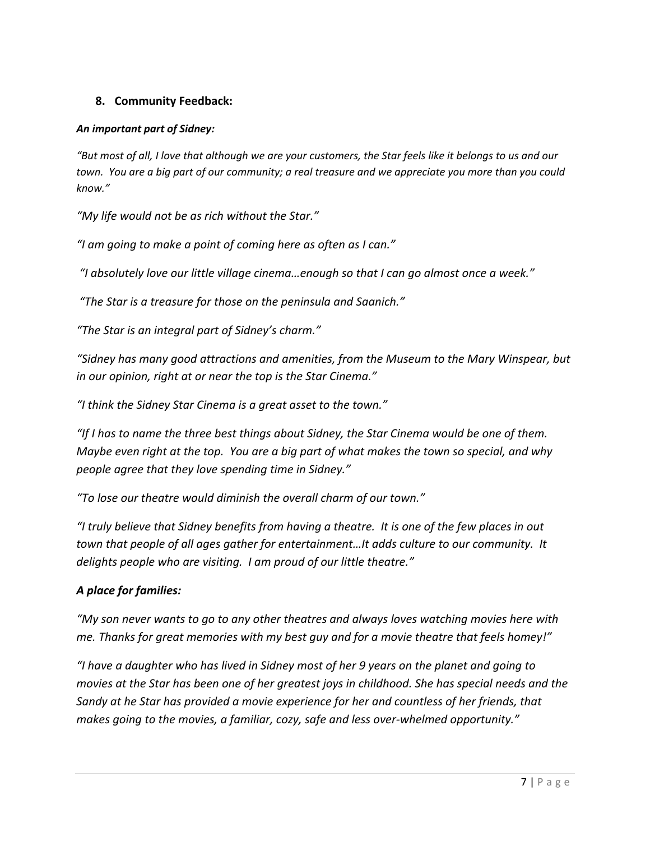# **8. Community Feedback:**

### *An important part of Sidney:*

"But most of all, I love that although we are your customers, the Star feels like it belongs to us and our town. You are a big part of our community; a real treasure and we appreciate you more than you could *know."*

*"My life would not be as rich without the Star."*

*"I am going to make a point of coming here as often as I can."*

*"I absolutely love our little village cinema…enough so that I can go almost once a week."*

*"The Star is a treasure for those on the peninsula and Saanich."* 

*"The Star is an integral part of Sidney's charm."*

*"Sidney has many good attractions and amenities, from the Museum to the Mary Winspear, but in our opinion, right at or near the top is the Star Cinema."*

*"I think the Sidney Star Cinema is a great asset to the town."*

"If I has to name the three best things about Sidney, the Star Cinema would be one of them. Maybe even right at the top. You are a big part of what makes the town so special, and why *people agree that they love spending time in Sidney."*

*"To lose our theatre would diminish the overall charm of our town."*

"I truly believe that Sidney benefits from having a theatre. It is one of the few places in out *town that people of all ages gather for entertainment…It adds culture to our community. It delights people who are visiting. I am proud of our little theatre."*

# *A place for families:*

*"My son never wants to go to any other theatres and always loves watching movies here with me. Thanks for great memories with my best guy and for a movie theatre that feels homey!"*

"I have a daughter who has lived in Sidney most of her 9 years on the planet and going to movies at the Star has been one of her greatest joys in childhood. She has special needs and the *Sandy at he Star has provided a movie experience for her and countless of her friends, that makes going to the movies, a familiar, cozy, safe and less over‐whelmed opportunity."*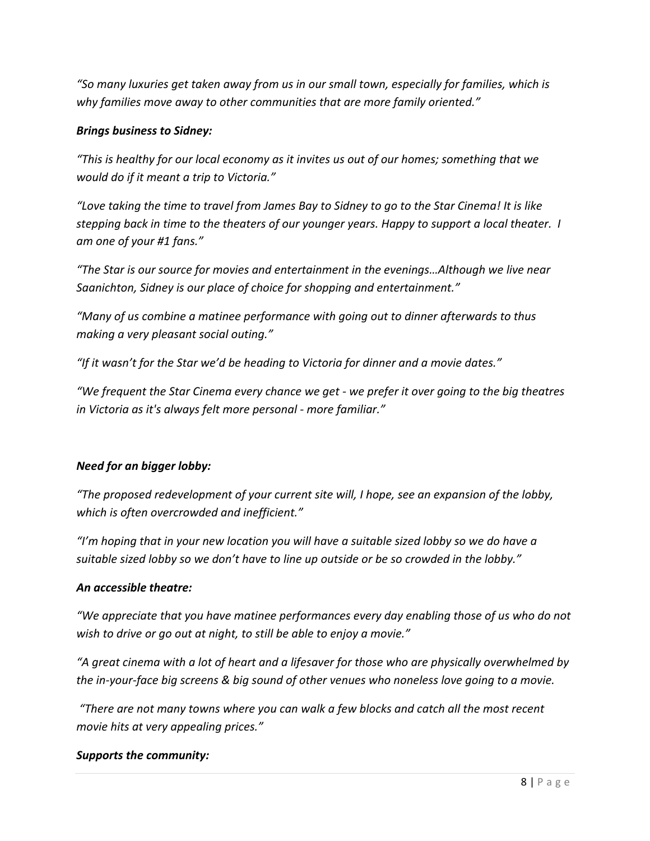*"So many luxuries get taken away from us in our small town, especially for families, which is why families move away to other communities that are more family oriented."*

### *Brings business to Sidney:*

*"This is healthy for our local economy as it invites us out of our homes; something that we would do if it meant a trip to Victoria."*

"Love taking the time to travel from James Bay to Sidney to go to the Star Cinema! It is like stepping back in time to the theaters of our younger years. Happy to support a local theater. I *am one of your #1 fans."*

*"The Star is our source for movies and entertainment in the evenings…Although we live near Saanichton, Sidney is our place of choice for shopping and entertainment."*

*"Many of us combine a matinee performance with going out to dinner afterwards to thus making a very pleasant social outing."*

*"If it wasn't for the Star we'd be heading to Victoria for dinner and a movie dates."*

"We frequent the Star Cinema every chance we get - we prefer it over going to the big theatres *in Victoria as it's always felt more personal ‐ more familiar."*

## *Need for an bigger lobby:*

*"The proposed redevelopment of your current site will, I hope, see an expansion of the lobby, which is often overcrowded and inefficient."*

*"I'm hoping that in your new location you will have a suitable sized lobby so we do have a suitable sized lobby so we don't have to line up outside or be so crowded in the lobby."*

### *An accessible theatre:*

*"We appreciate that you have matinee performances every day enabling those of us who do not wish to drive or go out at night, to still be able to enjoy a movie."* 

*"A great cinema with a lot of heart and a lifesaver for those who are physically overwhelmed by* the in-your-face big screens & big sound of other venues who noneless love going to a movie.

*"There are not many towns where you can walk a few blocks and catch all the most recent movie hits at very appealing prices."*

### *Supports the community:*